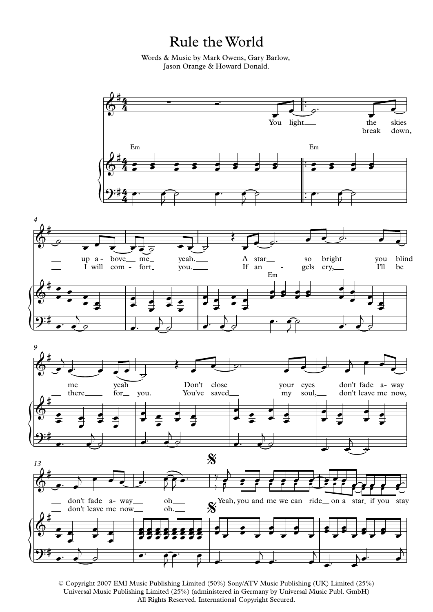Rule the World

Words & Music by Mark Owens, Gary Barlow, Jason Orange & Howard Donald.



<sup>©</sup> Copyright 2007 EMI Music Publishing Limited (50%) Sony/ATV Music Publishing (UK) Limited (25%) Universal Music Publishing Limited (25%) (administered in Germany by Universal Music Publ. GmbH) All Rights Reserved. International Copyright Secured.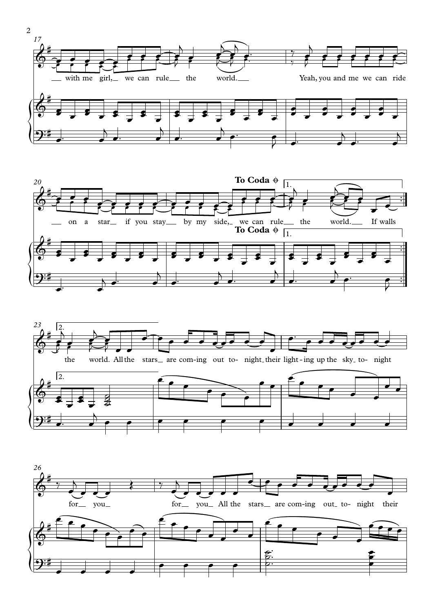